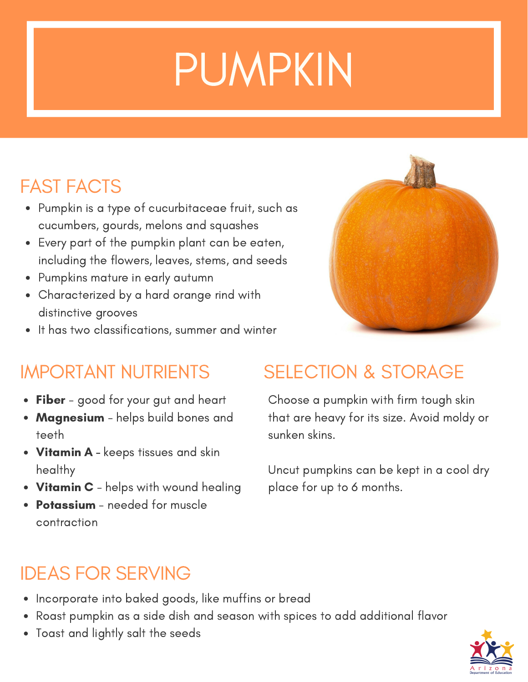# PUMPKIN

### FAST FACTS

- Pumpkin is a type of cucurbitaceae fruit, such as cucumbers, gourds, melons and squashes
- Every part of the pumpkin plant can be eaten, including the flowers, leaves, stems, and seeds
- Pumpkins mature in early autumn
- Characterized by a hard orange rind with distinctive grooves
- It has two classifications, summer and winter



- Fiber good for your gut and heart
- Magnesium helps build bones and teeth
- Vitamin A keeps tissues and skin healthy
- Vitamin C helps with wound healing
- Potassium needed for muscle contraction

## IMPORTANT NUTRIENTS SELECTION & STORAGE

Choose a pumpkin with firm tough skin that are heavy for its size. Avoid moldy or sunken skins.

Uncut pumpkins can be kept in a cool dry place for up to 6 months.

## IDEAS FOR SERVING

- Incorporate into baked goods, like muffins or bread
- Roast pumpkin as a side dish and season with spices to add additional flavor
- Toast and lightly salt the seeds